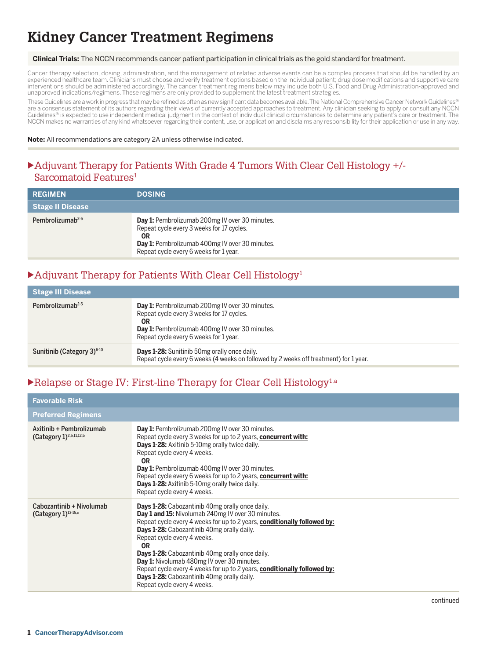# **Kidney Cancer Treatment Regimens**

#### **Clinical Trials:** The NCCN recommends cancer patient participation in clinical trials as the gold standard for treatment.

Cancer therapy selection, dosing, administration, and the management of related adverse events can be a complex process that should be handled by an experienced healthcare team. Clinicians must choose and verify treatment options based on the individual patient; drug dose modifications and supportive care<br>interventions should be administered accordingly. The cancer tre unapproved indications/regimens. These regimens are only provided to supplement the latest treatment strategies.

These Guidelines are a work in progress that may be refined as often as new significant data becomes available. The National Comprehensive Cancer Network Guidelines® are a consensus statement of its authors regarding their views of currently accepted approaches to treatment. Any clinician seeking to apply or consult any NCCN<br>Guidelines® is expected to use independent medical judgment i NCCN makes no warranties of any kind whatsoever regarding their content, use, or application and disclaims any responsibility for their application or use in any way.

**Note:** All recommendations are category 2A unless otherwise indicated.

#### • Adjuvant Therapy for Patients With Grade 4 Tumors With Clear Cell Histology +/-Sarcomatoid Features<sup>1</sup>

| <b>REGIMEN</b>               | <b>DOSING</b>                                                                                                                                                                                                      |
|------------------------------|--------------------------------------------------------------------------------------------------------------------------------------------------------------------------------------------------------------------|
| <b>Stage II Disease</b>      |                                                                                                                                                                                                                    |
| Pembrolizumab <sup>2-5</sup> | <b>Day 1:</b> Pembrolizumab 200mg IV over 30 minutes.<br>Repeat cycle every 3 weeks for 17 cycles.<br><b>OR</b><br><b>Day 1:</b> Pembrolizumab 400mg IV over 30 minutes.<br>Repeat cycle every 6 weeks for 1 year. |

### $\blacktriangleright$  Adjuvant Therapy for Patients With Clear Cell Histology<sup>1</sup>

| <b>Stage III Disease</b>               |                                                                                                                                                                                                      |
|----------------------------------------|------------------------------------------------------------------------------------------------------------------------------------------------------------------------------------------------------|
| Pembrolizumab <sup>2-5</sup>           | Day 1: Pembrolizumab 200mg IV over 30 minutes.<br>Repeat cycle every 3 weeks for 17 cycles.<br>ΟR<br><b>Day 1:</b> Pembrolizumab 400mg IV over 30 minutes.<br>Repeat cycle every 6 weeks for 1 year. |
| Sunitinib (Category 3) <sup>6-10</sup> | <b>Days 1-28:</b> Sunitinib 50mg orally once daily.<br>Repeat cycle every 6 weeks (4 weeks on followed by 2 weeks off treatment) for 1 year.                                                         |

### $\blacktriangleright$  Relapse or Stage IV: First-line Therapy for Clear Cell Histology<sup>1,a</sup>

| <b>Favorable Risk</b>                                              |                                                                                                                                                                                                                                                                                                                                                                                                                                                                                                                                                           |
|--------------------------------------------------------------------|-----------------------------------------------------------------------------------------------------------------------------------------------------------------------------------------------------------------------------------------------------------------------------------------------------------------------------------------------------------------------------------------------------------------------------------------------------------------------------------------------------------------------------------------------------------|
| <b>Preferred Regimens</b>                                          |                                                                                                                                                                                                                                                                                                                                                                                                                                                                                                                                                           |
| Axitinib + Pembrolizumab<br>(Category $1$ ) <sup>2,5,11,12,b</sup> | <b>Day 1:</b> Pembrolizumab 200mg IV over 30 minutes.<br>Repeat cycle every 3 weeks for up to 2 years, concurrent with:<br><b>Days 1-28:</b> Axitinib 5-10mg orally twice daily.<br>Repeat cycle every 4 weeks.<br><b>OR</b><br><b>Day 1:</b> Pembrolizumab 400mg IV over 30 minutes.<br>Repeat cycle every 6 weeks for up to 2 years, concurrent with:<br><b>Days 1-28:</b> Axitinib 5-10mg orally twice daily.<br>Repeat cycle every 4 weeks.                                                                                                           |
| Cabozantinib + Nivolumab<br>(Category $1$ ) <sup>13-15,c</sup>     | <b>Days 1-28:</b> Cabozantinib 40mg orally once daily.<br>Day 1 and 15: Nivolumab 240mg IV over 30 minutes.<br>Repeat cycle every 4 weeks for up to 2 years, conditionally followed by:<br>Days 1-28: Cabozantinib 40mg orally daily.<br>Repeat cycle every 4 weeks.<br><b>OR</b><br><b>Days 1-28:</b> Cabozantinib 40mg orally once daily.<br>Day 1: Nivolumab 480mg IV over 30 minutes.<br>Repeat cycle every 4 weeks for up to 2 years, conditionally followed by:<br><b>Days 1-28:</b> Cabozantinib 40mg orally daily.<br>Repeat cycle every 4 weeks. |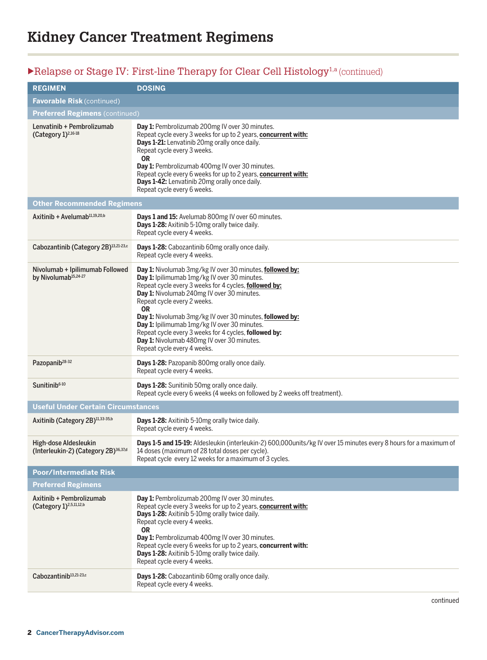# $\blacktriangleright \text{Relapse or Stage IV: First-line Theory for Clear Cell Histology}^{1,a}\text{(continued)}$

| <b>REGIMEN</b>                                                            | <b>DOSING</b>                                                                                                                                                                                                                                                                                                                                                                                                                                                                                                 |
|---------------------------------------------------------------------------|---------------------------------------------------------------------------------------------------------------------------------------------------------------------------------------------------------------------------------------------------------------------------------------------------------------------------------------------------------------------------------------------------------------------------------------------------------------------------------------------------------------|
| <b>Favorable Risk (continued)</b>                                         |                                                                                                                                                                                                                                                                                                                                                                                                                                                                                                               |
| <b>Preferred Regimens (continued)</b>                                     |                                                                                                                                                                                                                                                                                                                                                                                                                                                                                                               |
| Lenvatinib + Pembrolizumab<br>(Category 1) <sup>2,16-18</sup>             | Day 1: Pembrolizumab 200mg IV over 30 minutes.<br>Repeat cycle every 3 weeks for up to 2 years, concurrent with:<br>Days 1-21: Lenvatinib 20mg orally once daily.<br>Repeat cycle every 3 weeks.<br><b>OR</b><br>Day 1: Pembrolizumab 400mg IV over 30 minutes.<br>Repeat cycle every 6 weeks for up to 2 years, concurrent with:<br>Days 1-42: Lenvatinib 20mg orally once daily.<br>Repeat cycle every 6 weeks.                                                                                             |
| <b>Other Recommended Regimens</b>                                         |                                                                                                                                                                                                                                                                                                                                                                                                                                                                                                               |
| Axitinib + Avelumab $11,19,20,b$                                          | Days 1 and 15: Avelumab 800mg IV over 60 minutes.<br>Days 1-28: Axitinib 5-10mg orally twice daily.<br>Repeat cycle every 4 weeks.                                                                                                                                                                                                                                                                                                                                                                            |
| Cabozantinib (Category 2B) <sup>13,21-23,c</sup>                          | Days 1-28: Cabozantinib 60mg orally once daily.<br>Repeat cycle every 4 weeks.                                                                                                                                                                                                                                                                                                                                                                                                                                |
| Nivolumab + Ipilimumab Followed<br>by Nivolumab <sup>15,24-27</sup>       | Day 1: Nivolumab 3mg/kg IV over 30 minutes, followed by:<br>Day 1: Ipilimumab 1mg/kg IV over 30 minutes.<br>Repeat cycle every 3 weeks for 4 cycles, followed by:<br>Day 1: Nivolumab 240mg IV over 30 minutes.<br>Repeat cycle every 2 weeks.<br><b>OR</b><br>Day 1: Nivolumab 3mg/kg IV over 30 minutes, followed by:<br>Day 1: Ipilimumab 1mg/kg IV over 30 minutes.<br>Repeat cycle every 3 weeks for 4 cycles, followed by:<br>Day 1: Nivolumab 480mg IV over 30 minutes.<br>Repeat cycle every 4 weeks. |
| Pazopanib <sup>28-32</sup>                                                | Days 1-28: Pazopanib 800mg orally once daily.<br>Repeat cycle every 4 weeks.                                                                                                                                                                                                                                                                                                                                                                                                                                  |
| Sunitinib <sup>6-10</sup>                                                 | Days 1-28: Sunitinib 50mg orally once daily.<br>Repeat cycle every 6 weeks (4 weeks on followed by 2 weeks off treatment).                                                                                                                                                                                                                                                                                                                                                                                    |
| <b>Useful Under Certain Circumstances</b>                                 |                                                                                                                                                                                                                                                                                                                                                                                                                                                                                                               |
| Axitinib (Category 2B) <sup>11,33-35,b</sup>                              | Days 1-28: Axitinib 5-10mg orally twice daily.<br>Repeat cycle every 4 weeks.                                                                                                                                                                                                                                                                                                                                                                                                                                 |
| High-dose Aldesleukin<br>(Interleukin-2) (Category 2B) <sup>36,37,d</sup> | Days 1-5 and 15-19: Aldesleukin (interleukin-2) 600,000units/kg IV over 15 minutes every 8 hours for a maximum of<br>14 doses (maximum of 28 total doses per cycle).<br>Repeat cycle every 12 weeks for a maximum of 3 cycles.                                                                                                                                                                                                                                                                                |
| Poor/Intermediate Risk                                                    |                                                                                                                                                                                                                                                                                                                                                                                                                                                                                                               |
| <b>Preferred Regimens</b>                                                 |                                                                                                                                                                                                                                                                                                                                                                                                                                                                                                               |
| Axitinib + Pembrolizumab<br>(Category 1) <sup>2,5,11,12,b</sup>           | Day 1: Pembrolizumab 200mg IV over 30 minutes.<br>Repeat cycle every 3 weeks for up to 2 years, concurrent with:<br>Days 1-28: Axitinib 5-10mg orally twice daily.<br>Repeat cycle every 4 weeks.<br><b>OR</b><br>Day 1: Pembrolizumab 400mg IV over 30 minutes.<br>Repeat cycle every 6 weeks for up to 2 years, concurrent with:<br>Days 1-28: Axitinib 5-10mg orally twice daily.<br>Repeat cycle every 4 weeks.                                                                                           |
| Cabozantinib <sup>13,21-23,c</sup>                                        | Days 1-28: Cabozantinib 60mg orally once daily.<br>Repeat cycle every 4 weeks.                                                                                                                                                                                                                                                                                                                                                                                                                                |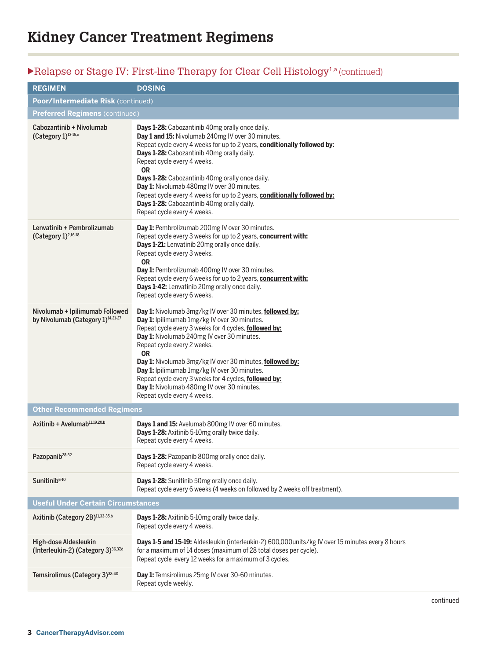# $\blacktriangleright$  Relapse or Stage IV: First-line Therapy for Clear Cell Histology<sup>1,a</sup> (continued)

| <b>REGIMEN</b>                                                                   | <b>DOSING</b>                                                                                                                                                                                                                                                                                                                                                                                                                                                                                                                               |
|----------------------------------------------------------------------------------|---------------------------------------------------------------------------------------------------------------------------------------------------------------------------------------------------------------------------------------------------------------------------------------------------------------------------------------------------------------------------------------------------------------------------------------------------------------------------------------------------------------------------------------------|
| Poor/Intermediate Risk (continued)                                               |                                                                                                                                                                                                                                                                                                                                                                                                                                                                                                                                             |
| <b>Preferred Regimens (continued)</b>                                            |                                                                                                                                                                                                                                                                                                                                                                                                                                                                                                                                             |
| Cabozantinib + Nivolumab<br>(Category 1) <sup>13-15,c</sup>                      | Days 1-28: Cabozantinib 40mg orally once daily.<br>Day 1 and 15: Nivolumab 240mg IV over 30 minutes.<br>Repeat cycle every 4 weeks for up to 2 years, conditionally followed by:<br>Days 1-28: Cabozantinib 40mg orally daily.<br>Repeat cycle every 4 weeks.<br><b>OR</b><br><b>Days 1-28:</b> Cabozantinib 40mg orally once daily.<br>Day 1: Nivolumab 480mg IV over 30 minutes.<br>Repeat cycle every 4 weeks for up to 2 years, conditionally followed by:<br>Days 1-28: Cabozantinib 40mg orally daily.<br>Repeat cycle every 4 weeks. |
| Lenvatinib + Pembrolizumab<br>(Category 1) <sup>2,16-18</sup>                    | Day 1: Pembrolizumab 200mg IV over 30 minutes.<br>Repeat cycle every 3 weeks for up to 2 years, concurrent with:<br>Days 1-21: Lenvatinib 20mg orally once daily.<br>Repeat cycle every 3 weeks.<br><b>OR</b><br>Day 1: Pembrolizumab 400mg IV over 30 minutes.<br>Repeat cycle every 6 weeks for up to 2 years, concurrent with:<br>Days 1-42: Lenvatinib 20mg orally once daily.<br>Repeat cycle every 6 weeks.                                                                                                                           |
| Nivolumab + Ipilimumab Followed<br>by Nivolumab (Category 1) <sup>14,21-27</sup> | Day 1: Nivolumab 3mg/kg IV over 30 minutes, followed by:<br>Day 1: Ipilimumab 1mg/kg IV over 30 minutes.<br>Repeat cycle every 3 weeks for 4 cycles, followed by:<br>Day 1: Nivolumab 240mg IV over 30 minutes.<br>Repeat cycle every 2 weeks.<br><b>OR</b><br>Day 1: Nivolumab 3mg/kg IV over 30 minutes, followed by:<br>Day 1: Ipilimumab 1mg/kg IV over 30 minutes.<br>Repeat cycle every 3 weeks for 4 cycles, followed by:<br>Day 1: Nivolumab 480mg IV over 30 minutes.<br>Repeat cycle every 4 weeks.                               |
| <b>Other Recommended Regimens</b>                                                |                                                                                                                                                                                                                                                                                                                                                                                                                                                                                                                                             |
| Axitinib + Avelumab $11,19,20,b$                                                 | Days 1 and 15: Avelumab 800mg IV over 60 minutes.<br>Days 1-28: Axitinib 5-10mg orally twice daily.<br>Repeat cycle every 4 weeks.                                                                                                                                                                                                                                                                                                                                                                                                          |
| Pazopanib <sup>28-32</sup>                                                       | Days 1-28: Pazopanib 800mg orally once daily.<br>Repeat cycle every 4 weeks.                                                                                                                                                                                                                                                                                                                                                                                                                                                                |
| Sunitinib <sup>6-10</sup>                                                        | Days 1-28: Sunitinib 50mg orally once daily.<br>Repeat cycle every 6 weeks (4 weeks on followed by 2 weeks off treatment).                                                                                                                                                                                                                                                                                                                                                                                                                  |
| <b>Useful Under Certain Circumstances</b>                                        |                                                                                                                                                                                                                                                                                                                                                                                                                                                                                                                                             |
| Axitinib (Category 2B)11,33-35,b                                                 | Days 1-28: Axitinib 5-10mg orally twice daily.<br>Repeat cycle every 4 weeks.                                                                                                                                                                                                                                                                                                                                                                                                                                                               |
| High-dose Aldesleukin<br>(Interleukin-2) (Category 3) <sup>36,37,d</sup>         | Days 1-5 and 15-19: Aldesleukin (interleukin-2) 600,000units/kg IV over 15 minutes every 8 hours<br>for a maximum of 14 doses (maximum of 28 total doses per cycle).<br>Repeat cycle every 12 weeks for a maximum of 3 cycles.                                                                                                                                                                                                                                                                                                              |
| Temsirolimus (Category 3) <sup>38-40</sup>                                       | Day 1: Temsirolimus 25mg IV over 30-60 minutes.<br>Repeat cycle weekly.                                                                                                                                                                                                                                                                                                                                                                                                                                                                     |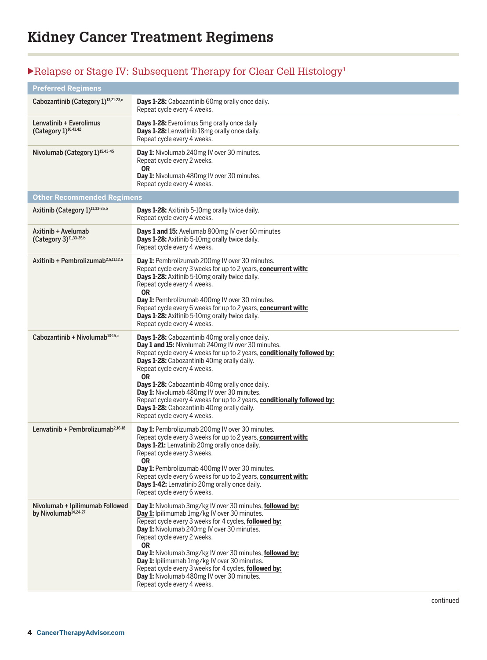# $\blacktriangleright$  Relapse or Stage IV: Subsequent Therapy for Clear Cell Histology<sup>1</sup>

| <b>Preferred Regimens</b>                                           |                                                                                                                                                                                                                                                                                                                                                                                                                                                                                                                                      |
|---------------------------------------------------------------------|--------------------------------------------------------------------------------------------------------------------------------------------------------------------------------------------------------------------------------------------------------------------------------------------------------------------------------------------------------------------------------------------------------------------------------------------------------------------------------------------------------------------------------------|
| Cabozantinib (Category 1) <sup>13,21-23,c</sup>                     | Days 1-28: Cabozantinib 60mg orally once daily.<br>Repeat cycle every 4 weeks.                                                                                                                                                                                                                                                                                                                                                                                                                                                       |
| Lenvatinib + Everolimus<br>(Category 1) <sup>16,41,42</sup>         | Days 1-28: Everolimus 5mg orally once daily<br>Days 1-28: Lenvatinib 18mg orally once daily.<br>Repeat cycle every 4 weeks.                                                                                                                                                                                                                                                                                                                                                                                                          |
| Nivolumab (Category 1) <sup>15,43-45</sup>                          | Day 1: Nivolumab 240mg IV over 30 minutes.<br>Repeat cycle every 2 weeks.<br><b>OR</b><br>Day 1: Nivolumab 480mg IV over 30 minutes.<br>Repeat cycle every 4 weeks.                                                                                                                                                                                                                                                                                                                                                                  |
| <b>Other Recommended Regimens</b>                                   |                                                                                                                                                                                                                                                                                                                                                                                                                                                                                                                                      |
| Axitinib (Category 1)11,33-35,b                                     | <b>Days 1-28:</b> Axitinib 5-10mg orally twice daily.<br>Repeat cycle every 4 weeks.                                                                                                                                                                                                                                                                                                                                                                                                                                                 |
| Axitinib + Avelumab<br>(Category 3) <sup>11,33-35,b</sup>           | Days 1 and 15: Avelumab 800mg IV over 60 minutes<br>Days 1-28: Axitinib 5-10mg orally twice daily.<br>Repeat cycle every 4 weeks.                                                                                                                                                                                                                                                                                                                                                                                                    |
| Axitinib + Pembrolizumab <sup>2,5,11,12,b</sup>                     | Day 1: Pembrolizumab 200mg IV over 30 minutes.<br>Repeat cycle every 3 weeks for up to 2 years, concurrent with:<br>Days 1-28: Axitinib 5-10mg orally twice daily.<br>Repeat cycle every 4 weeks.<br><b>OR</b><br>Day 1: Pembrolizumab 400mg IV over 30 minutes.<br>Repeat cycle every 6 weeks for up to 2 years, concurrent with:<br>Days 1-28: Axitinib 5-10mg orally twice daily.<br>Repeat cycle every 4 weeks.                                                                                                                  |
| Cabozantinib + Nivolumab <sup>13-15,c</sup>                         | Days 1-28: Cabozantinib 40mg orally once daily.<br>Day 1 and 15: Nivolumab 240mg IV over 30 minutes.<br>Repeat cycle every 4 weeks for up to 2 years, conditionally followed by:<br>Days 1-28: Cabozantinib 40mg orally daily.<br>Repeat cycle every 4 weeks.<br><b>OR</b><br>Days 1-28: Cabozantinib 40mg orally once daily.<br>Day 1: Nivolumab 480mg IV over 30 minutes.<br>Repeat cycle every 4 weeks for up to 2 years, conditionally followed by:<br>Days 1-28: Cabozantinib 40mg orally daily.<br>Repeat cycle every 4 weeks. |
| Lenvatinib + Pembrolizumab <sup>2,16-18</sup>                       | Day 1: Pembrolizumab 200mg IV over 30 minutes.<br>Repeat cycle every 3 weeks for up to 2 years, concurrent with:<br>Days 1-21: Lenvatinib 20mg orally once daily.<br>Repeat cycle every 3 weeks.<br><b>OR</b><br>Day 1: Pembrolizumab 400mg IV over 30 minutes.<br>Repeat cycle every 6 weeks for up to 2 years, <b>concurrent with:</b><br>Days 1-42: Lenvatinib 20mg orally once daily.<br>Repeat cycle every 6 weeks.                                                                                                             |
| Nivolumab + Ipilimumab Followed<br>by Nivolumab <sup>14,24-27</sup> | Day 1: Nivolumab 3mg/kg IV over 30 minutes, followed by:<br>Day 1: Ipilimumab 1mg/kg IV over 30 minutes.<br>Repeat cycle every 3 weeks for 4 cycles, followed by:<br>Day 1: Nivolumab 240mg IV over 30 minutes.<br>Repeat cycle every 2 weeks.<br><b>OR</b><br>Day 1: Nivolumab 3mg/kg IV over 30 minutes, followed by:<br>Day 1: Ipilimumab 1mg/kg IV over 30 minutes.<br>Repeat cycle every 3 weeks for 4 cycles, followed by:<br>Day 1: Nivolumab 480mg IV over 30 minutes.<br>Repeat cycle every 4 weeks.                        |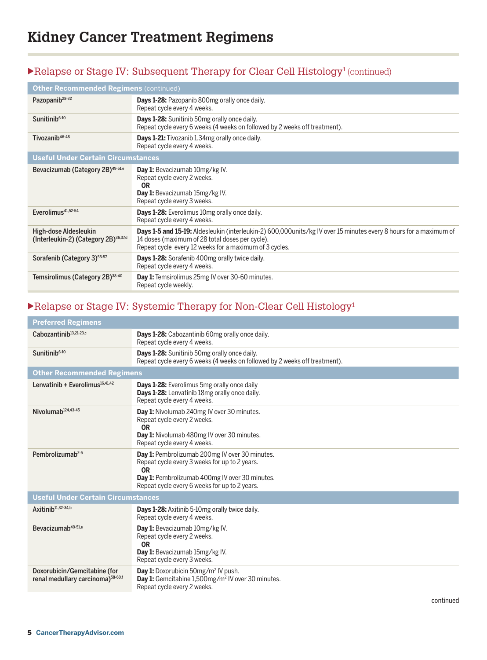# $\blacktriangleright$  Relapse or Stage IV: Subsequent Therapy for Clear Cell Histology<sup>1</sup> (continued)

| <b>Other Recommended Regimens (continued)</b>                             |                                                                                                                                                                                                                                |
|---------------------------------------------------------------------------|--------------------------------------------------------------------------------------------------------------------------------------------------------------------------------------------------------------------------------|
| Pazopanib <sup>28-32</sup>                                                | <b>Days 1-28:</b> Pazopanib 800mg orally once daily.<br>Repeat cycle every 4 weeks.                                                                                                                                            |
| Sunitinib <sup>6-10</sup>                                                 | <b>Days 1-28:</b> Sunitinib 50mg orally once daily.<br>Repeat cycle every 6 weeks (4 weeks on followed by 2 weeks off treatment).                                                                                              |
| Tivozanib <sup>46-48</sup>                                                | <b>Days 1-21:</b> Tivozanib 1.34mg orally once daily.<br>Repeat cycle every 4 weeks.                                                                                                                                           |
| <b>Useful Under Certain Circumstances</b>                                 |                                                                                                                                                                                                                                |
| Bevacizumab (Category 2B) <sup>49-51,e</sup>                              | <b>Day 1:</b> Bevacizumab 10mg/kg IV.<br>Repeat cycle every 2 weeks.<br>0 <sub>R</sub><br>Day 1: Bevacizumab 15mg/kg IV.<br>Repeat cycle every 3 weeks.                                                                        |
| Everolimus <sup>41,52-54</sup>                                            | <b>Days 1-28:</b> Everolimus 10mg orally once daily.<br>Repeat cycle every 4 weeks.                                                                                                                                            |
| High-dose Aldesleukin<br>(Interleukin-2) (Category 2B) <sup>36,37,d</sup> | Days 1-5 and 15-19: Aldesleukin (interleukin-2) 600,000units/kg IV over 15 minutes every 8 hours for a maximum of<br>14 doses (maximum of 28 total doses per cycle).<br>Repeat cycle every 12 weeks for a maximum of 3 cycles. |
| Sorafenib (Category 3) <sup>55-57</sup>                                   | Days 1-28: Sorafenib 400mg orally twice daily.<br>Repeat cycle every 4 weeks.                                                                                                                                                  |
| Temsirolimus (Category 2B) <sup>38-40</sup>                               | Day 1: Temsirolimus 25mg IV over 30-60 minutes.<br>Repeat cycle weekly.                                                                                                                                                        |

# $\blacktriangleright$  Relapse or Stage IV: Systemic Therapy for Non-Clear Cell Histology<sup>1</sup>

| <b>Preferred Regimens</b>                                                     |                                                                                                                                                                                                                 |
|-------------------------------------------------------------------------------|-----------------------------------------------------------------------------------------------------------------------------------------------------------------------------------------------------------------|
| Cabozantinib <sup>13,21-23,c</sup>                                            | <b>Days 1-28:</b> Cabozantinib 60mg orally once daily.<br>Repeat cycle every 4 weeks.                                                                                                                           |
| Sunitinib <sup>6-10</sup>                                                     | Days 1-28: Sunitinib 50mg orally once daily.<br>Repeat cycle every 6 weeks (4 weeks on followed by 2 weeks off treatment).                                                                                      |
| <b>Other Recommended Regimens</b>                                             |                                                                                                                                                                                                                 |
| Lenvatinib + Everolimus $16,41,42$                                            | Days 1-28: Everolimus 5mg orally once daily<br>Days 1-28: Lenvatinib 18mg orally once daily.<br>Repeat cycle every 4 weeks.                                                                                     |
| Nivolumab <sup>124,43-45</sup>                                                | Day 1: Nivolumab 240mg IV over 30 minutes.<br>Repeat cycle every 2 weeks.<br><b>OR</b><br>Day 1: Nivolumab 480mg IV over 30 minutes.<br>Repeat cycle every 4 weeks.                                             |
| Pembrolizumab <sup>2-5</sup>                                                  | Day 1: Pembrolizumab 200mg IV over 30 minutes.<br>Repeat cycle every 3 weeks for up to 2 years.<br><b>OR</b><br>Day 1: Pembrolizumab 400mg IV over 30 minutes.<br>Repeat cycle every 6 weeks for up to 2 years. |
| <b>Useful Under Certain Circumstances</b>                                     |                                                                                                                                                                                                                 |
| Axitinib <sup>11,32-34,b</sup>                                                | <b>Days 1-28:</b> Axitinib 5-10mg orally twice daily.<br>Repeat cycle every 4 weeks.                                                                                                                            |
| Bevacizumab <sup>49-51,e</sup>                                                | Day 1: Bevacizumab 10mg/kg IV.<br>Repeat cycle every 2 weeks.<br><b>OR</b><br>Day 1: Bevacizumab 15mg/kg IV.<br>Repeat cycle every 3 weeks.                                                                     |
| Doxorubicin/Gemcitabine (for<br>renal medullary carcinoma) <sup>58-60,f</sup> | <b>Day 1:</b> Doxorubicin 50mg/m <sup>2</sup> IV push.<br>Day 1: Gemcitabine 1,500mg/m <sup>2</sup> IV over 30 minutes.<br>Repeat cycle every 2 weeks.                                                          |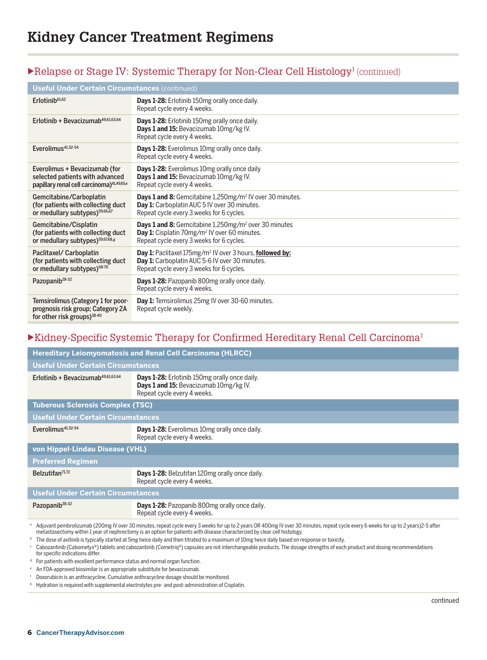### Relapse or Stage IV: Systemic Therapy for Non-Clear Cell Histology<sup>1</sup> (continued)

| <b>Useful Under Certain Circumstances (continued)</b>                                                                     |                                                                                                                                                                                 |
|---------------------------------------------------------------------------------------------------------------------------|---------------------------------------------------------------------------------------------------------------------------------------------------------------------------------|
| $E$ rlotinib <sup>61,62</sup>                                                                                             | Days 1-28: Erlotinib 150mg orally once daily.<br>Repeat cycle every 4 weeks.                                                                                                    |
| Erlotinib + Bevacizumab <sup>49,61,63,64</sup>                                                                            | <b>Days 1-28:</b> Erlotinib 150mg orally once daily.<br>Days 1 and 15: Bevacizumab 10mg/kg IV.<br>Repeat cycle every 4 weeks.                                                   |
| Everolimus <sup>41,52-54</sup>                                                                                            | Days 1-28: Everolimus 10mg orally once daily.<br>Repeat cycle every 4 weeks.                                                                                                    |
| Everolimus + Bevacizumab (for<br>selected patients with advanced<br>papillary renal cell carcinoma) <sup>41,49,65,e</sup> | <b>Days 1-28:</b> Everolimus 10mg orally once daily<br>Days 1 and 15: Bevacizumab 10mg/kg IV.<br>Repeat cycle every 4 weeks.                                                    |
| Gemcitabine/Carboplatin<br>(for patients with collecting duct<br>or medullary subtypes) <sup>59,66,67</sup>               | Days 1 and 8: Gemcitabine 1,250mg/m <sup>2</sup> IV over 30 minutes.<br>Day 1: Carboplatin AUC 5 IV over 30 minutes.<br>Repeat cycle every 3 weeks for 6 cycles.                |
| Gemcitabine/Cisplatin<br>(for patients with collecting duct<br>or medullary subtypes) <sup>59,67,68,g</sup>               | <b>Days 1 and 8:</b> Gemcitabine 1,250mg/m <sup>2</sup> over 30 minutes<br>Day 1: Cisplatin 70mg/m <sup>2</sup> IV over 60 minutes.<br>Repeat cycle every 3 weeks for 6 cycles. |
| Paclitaxel/ Carboplatin<br>(for patients with collecting duct<br>or medullary subtypes) <sup>68-70</sup>                  | Day 1: Paclitaxel 175mg/m <sup>2</sup> IV over 3 hours, followed by:<br>Day 1: Carboplatin AUC 5-6 IV over 30 minutes.<br>Repeat cycle every 3 weeks for 6 cycles.              |
| Pazopanib <sup>28-32</sup>                                                                                                | Days 1-28: Pazopanib 800mg orally once daily.<br>Repeat cycle every 4 weeks.                                                                                                    |
| Temsirolimus (Category 1 for poor-<br>prognosis risk group; Category 2A<br>for other risk groups) <sup>38-40</sup>        | Day 1: Temsirolimus 25mg IV over 30-60 minutes.<br>Repeat cycle weekly.                                                                                                         |

#### $\blacktriangleright$  Kidney-Specific Systemic Therapy for Confirmed Hereditary Renal Cell Carcinoma<sup>1</sup>

| <b>Hereditary Leiomyomatosis and Renal Cell Carcinoma (HLRCC)</b>                                                                                                                                                                                                                                                                                                                                                                                                                |                                                                                                                               |
|----------------------------------------------------------------------------------------------------------------------------------------------------------------------------------------------------------------------------------------------------------------------------------------------------------------------------------------------------------------------------------------------------------------------------------------------------------------------------------|-------------------------------------------------------------------------------------------------------------------------------|
| <b>Useful Under Certain Circumstances</b>                                                                                                                                                                                                                                                                                                                                                                                                                                        |                                                                                                                               |
| Erlotinib + Bevacizumab $49,61,63,64$                                                                                                                                                                                                                                                                                                                                                                                                                                            | <b>Days 1-28:</b> Erlotinib 150mg orally once daily.<br>Days 1 and 15: Bevacizumab 10mg/kg IV.<br>Repeat cycle every 4 weeks. |
| <b>Tuberous Sclerosis Complex (TSC)</b>                                                                                                                                                                                                                                                                                                                                                                                                                                          |                                                                                                                               |
| <b>Useful Under Certain Circumstances</b>                                                                                                                                                                                                                                                                                                                                                                                                                                        |                                                                                                                               |
| Everolimus <sup>41,52-54</sup>                                                                                                                                                                                                                                                                                                                                                                                                                                                   | <b>Days 1-28:</b> Everolimus 10mg orally once daily.<br>Repeat cycle every 4 weeks.                                           |
| von Hippel-Lindau Disease (VHL)                                                                                                                                                                                                                                                                                                                                                                                                                                                  |                                                                                                                               |
| <b>Preferred Regimen</b>                                                                                                                                                                                                                                                                                                                                                                                                                                                         |                                                                                                                               |
| Belzutifan <sup>71,72</sup>                                                                                                                                                                                                                                                                                                                                                                                                                                                      | <b>Days 1-28:</b> Belzutifan 120mg orally once daily.<br>Repeat cycle every 4 weeks.                                          |
| <b>Useful Under Certain Circumstances</b>                                                                                                                                                                                                                                                                                                                                                                                                                                        |                                                                                                                               |
| Pazopanib <sup>28-32</sup>                                                                                                                                                                                                                                                                                                                                                                                                                                                       | <b>Days 1-28:</b> Pazopanib 800mg orally once daily.<br>Repeat cycle every 4 weeks.                                           |
| a Adjuvant pembrolizumab (200mg IV over 30 minutes, repeat cycle every 3 weeks for up to 2 years OR 400mg IV over 30 minutes, repeat cycle every 6 weeks for up to 2 years)2-5 after<br>metastasectomy within 1 year of nephrectomy is an option for patients with disease characterized by clear cell histology.<br><sup>b</sup> The dose of axitinib is typically started at 5mg twice daily and then titrated to a maximum of 10mg twice daily based on response or toxicity. |                                                                                                                               |

<sup>c</sup> Cabozantinib (Cabometyx®) tablets and cabozantinib (Cometriq®) capsules are not interchangeable products. The dosage strengths of each product and dosing recommendations for specific indications differ.

- <sup>d</sup> For patients with excellent performance status and normal organ function.
- <sup>e</sup> An FDA-approved biosimilar is an appropriate substitute for bevacizumab.
- <sup>f</sup> Doxorubicin is an anthracycline. Cumulative anthracycline dosage should be monitored.
- <sup>g</sup> Hydration is required with supplemental electrolytes pre- and post-administration of Cisplatin.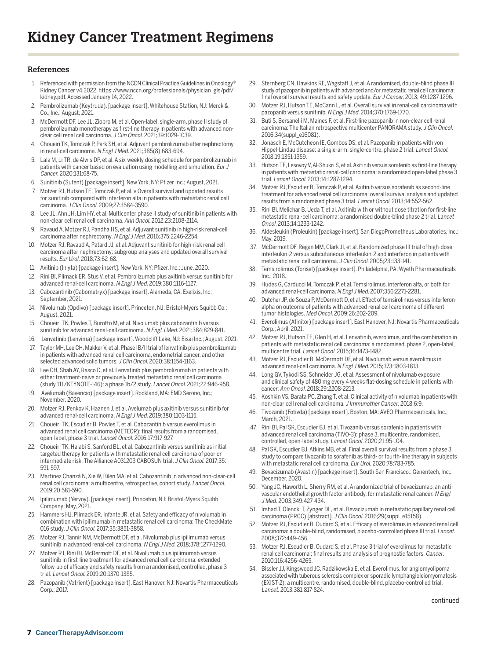#### **References**

- 1. Referenced with permission from the NCCN Clinical Practice Guidelines in Oncology® Kidney Cancer v4.2022. https://www.nccn.org/professionals/physician\_gls/pdf/ kidney.pdf. Accessed January 14, 2022.
- 2. Pembrolizumab (Keytruda). [package insert]. Whitehouse Station, NJ: Merck & Co., Inc.; August, 2021.
- 3. McDermott DF, Lee JL, Ziobro M, et al. Open-label, single-arm, phase II study of pembrolizumab monotherapy as first-line therapy in patients with advanced nonclear cell renal cell carcinoma. J Clin Oncol. 2021;39:1029-1039.
- 4. Choueiri TK, Tomczak P, Park SH, et al. Adjuvant pembrolizumab after nephrectomy in renal-cell carcinoma. N Engl J Med. 2021;385(8):683-694.
- 5. Lala M, Li TR, de Alwis DP, et al. A six-weekly dosing schedule for pembrolizumab in patients with cancer based on evaluation using modelling and simulation. Eur J Cancer. 2020;131:68-75.
- 6. Sunitinib (Sutent) [package insert]. New York, NY: Pfizer Inc.; August, 2021.
- 7. Motzer RJ, Hutson TE, Tomczak P, et al. v Overall survival and updated results for sunitinib compared with interferon alfa in patients with metastatic renal cell carcinoma. J Clin Oncol. 2009;27:3584-3590.
- 8. Lee JL, Ahn JH, Lim HY, et al. Multicenter phase II study of sunitinib in patients with non-clear cell renal cell carcinoma. Ann Oncol. 2012;23:2108-2114.
- 9. Ravaud A, Motzer RJ, Pandha HS, et al. Adjuvant sunitinib in high-risk renal-cell carcinoma after nephrectomy. N Engl J Med. 2016;375:2246-2254
- 10. Motzer RJ, Ravaud A, Patard JJ, et al. Adjuvant sunitinib for high-risk renal cell carcinoma after nephrectomy: subgroup analyses and updated overall survival results. Eur Urol. 2018;73:62-68.
- 11. Axitinib (Inlyta) [package insert]. New York, NY: Pfizer, Inc.; June, 2020.
- 12. Rini BI, Plimack ER, Stus V, et al. Pembrolizumab plus axitinib versus sunitinib for advanced renal-cell carcinoma. N Engl J Med. 2019;380:1116-1127.
- 13. Cabozantinib (Cabometryx) [package insert]. Alameda, CA: Exelixis, Inc; September, 2021.
- 14. Nivolumab (Opdivo) [package insert]. Princeton, NJ: Bristol-Myers Squibb Co.; August, 2021.
- 15. Choueiri TK, Powles T, Burotto M, et al. Nivolumab plus cabozantinib versus sunitinib for advanced renal-cell carcinoma. N Engl J Med. 2021;384:829-841.
- 16. Lenvatinib (Lenvima) [package insert]. Woodcliff Lake, NJ: Eisai Inc.; August, 2021.
- 17. Taylor MH, Lee CH, Makker V, et al. Phase IB/II trial of lenvatinib plus pembrolizumab in patients with advanced renal cell carcinoma, endometrial cancer, and other selected advanced solid tumors. J Clin Oncol. 2020;38:1154-1163.
- 18. Lee CH, Shah AY, Rasco D, et al. Lenvatinib plus pembrolizumab in patients with either treatment-naive or previously treated metastatic renal cell carcinoma (study 111/KEYNOTE-146): a phase 1b/2 study. Lancet Oncol. 2021;22:946-958.
- 19. Avelumab (Bavencio) [package insert]. Rockland, MA: EMD Serono, Inc.; November, 2020.
- 20. Motzer RJ, Penkov K, Haanen J, et al. Avelumab plus axitinib versus sunitinib for advanced renal-cell carcinoma. N Engl J Med. 2019;380:1103-1115.
- 21. Choueiri TK, Escudier B, Powles T, et al. Cabozantinib versus everolimus in advanced renal cell carcinoma (METEOR): final results from a randomised, open-label, phase 3 trial. Lancet Oncol. 2016;17:917-927.
- 22. Choueiri TK, Halabi S, Sanford BL, et al. Cabozantinib versus sunitinib as initial targeted therapy for patients with metastatic renal cell carcinoma of poor or intermediate risk: The Alliance A031203 CABOSUN trial. J Clin Oncol. 2017;35: 591-597.
- 23. Martinez Chanzá N, Xie W, Bilen MA, et al. Cabozantinib in advanced non-clear-cell renal cell carcinoma: a multicentre, retrospective, cohort study. Lancet Oncol. 2019;20:581-590.
- 24. Ipilimumab (Yervoy). [package insert]. Princeton, NJ: Bristol-Myers Squibb Company; May, 2021.
- 25. Hammers HJ, Plimack ER, Infante JR, et al. Safety and efficacy of nivolumab in combination with ipilimumab in metastatic renal cell carcinoma: The CheckMate 016 study. J Clin Oncol. 2017;35:3851-3858.
- 26. Motzer RJ, Tannir NM, McDermott DF, et al. Nivolumab plus ipilimumab versus sunitinib in advanced renal-cell carcinoma. N Engl J Med. 2018;378:1277-1290.
- 27. Motzer RJ, Rini BI, McDermott DF, et al. Nivolumab plus ipilimumab versus sunitinib in first-line treatment for advanced renal cell carcinoma: extended follow-up of efficacy and safety results from a randomised, controlled, phase 3 trial. Lancet Oncol. 2019;20:1370-1385.
- 28. Pazopanib (Votrient) [package insert]. East Hanover, NJ: Novartis Pharmaceuticals Corp.; 2017.
- 29. Sternberg CN, Hawkins RE, Wagstaff J, et al. A randomised, double-blind phase III study of pazopanib in patients with advanced and/or metastatic renal cell carcinoma: final overall survival results and safety update. Eur J Cancer. 2013; 49:1287-1296.
- 30. Motzer RJ, Hutson TE, McCann L, et al. Overall survival in renal-cell carcinoma with pazopanib versus sunitinib. N Engl J Med. 2014;370:1769-1770.
- 31. Buti S, Bersanelli M, Maines F, et al. First-line pazopanib in non-clear cell renal carcinoma: The Italian retrospective multicenter PANORAMA study. J Clin Oncol. 2016;34(suppl\_e16081).
- 32. Jonasch E, McCutcheon IE, Gombos DS, et al. Pazopanib in patients with von Hippel-Lindau disease: a single-arm, single-centre, phase 2 trial. Lancet Oncol. 2018;19:1351-1359.
- 33. Hutson TE, Lesovoy V, Al-Shukri S, et al. Axitinib versus sorafenib as first-line therapy in patients with metastatic renal-cell carcinoma: a randomised open-label phase 3 trial. Lancet Oncol. 2013;14:1287-1294.
- 34. Motzer RJ, Escudier B, Tomczak P, et al. Axitinib versus sorafenib as second-line treatment for advanced renal cell carcinoma: overall survival analysis and updated results from a randomised phase 3 trial. Lancet Oncol. 2013;14:552-562.
- 35. Rini BI, Melichar B, Ueda T, et al. Axitinib with or without dose titration for first-line metastatic renal-cell carcinoma: a randomised double-blind phase 2 trial. Lancet Oncol. 2013;14:1233-1242.
- 36. Aldesleukin (Proleukin) [package insert]. San DiegoPrometheus Laboratories, Inc.; May, 2019.
- 37. McDermott DF, Regan MM, Clark JI, et al. Randomized phase III trial of high-dose interleukin-2 versus subcutaneous interleukin-2 and interferon in patients with metastatic renal cell carcinoma. J Clin Oncol. 2005;23:133-141.
- 38. Temsirolimus (Torisel) [package insert]. Philadelphia, PA: Wyeth Pharmaceuticals Inc.; 2018.
- 39. Hudes G, Carducci M, Tomczak P, et al. Temsirolimus, interferon alfa, or both for advanced renal-cell carcinoma. N Engl J Med. 2007;356:2271-2281.
- 40. Dutcher JP, de Souza P, McDermott D, et al. Effect of temsirolimus versus interferonalpha on outcome of patients with advanced renal cell carcinoma of different tumor histologies. Med Oncol. 2009;26:202-209.
- 41. Everolimus (Afinitor) [package insert]. East Hanover, NJ: Novartis Pharmaceuticals Corp.; April, 2021.
- 42. Motzer RJ, Hutson TE, Glen H, et al. Lenvatinib, everolimus, and the combination in patients with metastatic renal cell carcinoma: a randomised, phase 2, open-label, multicentre trial. Lancet Oncol. 2015;16:1473-1482.
- 43. Motzer RJ, Escudier B, McDermott DF, et al. Nivolumab versus everolimus in advanced renal-cell carcinoma. N Engl J Med. 2015;373:1803-1813.
- 44. Long GV, Tykodi SS, Schneider JG, et al. Assessment of nivolumab exposure and clinical safety of 480 mg every 4 weeks flat-dosing schedule in patients with cancer. Ann Oncol. 2018;29:2208-2213.
- 45. Koshkin VS, Barata PC, Zhang T, et al. Clinical activity of nivolumab in patients with non-clear cell renal cell carcinoma. J Immunother Cancer. 2018;6:9.
- 46. Tivozanib (Fotivda) [package insert]. Boston, MA: AVEO Pharmaceuticals, Inc.; March, 2021.
- 47. Rini BI, Pal SK, Escudier BJ. et al. Tivozanib versus sorafenib in patients with advanced renal cell carcinoma (TIVO-3): phase 3, multicentre, randomised, controlled, open-label study. Lancet Oncol. 2020;21:95-104.
- 48. Pal SK, Escudier BJ, Atkins MB, et al. Final overall survival results from a phase 3 study to compare tivozanib to sorafenib as third- or fourth-line therapy in subjects with metastatic renal cell carcinoma. Eur Urol. 2020;78:783-785.
- 49. Bevacizumab (Avastin) [package insert]. South San Francisco.: Genentech, Inc.; December, 2020.
- 50. Yang JC, Haworth L, Sherry RM, et al. A randomized trial of bevacizumab, an antivascular endothelial growth factor antibody, for metastatic renal cancer. N Engl J Med. 2003;349:427-434.
- 51. Irshad T, Olencki T, Zynger DL, et al. Bevacizumab in metastatic papillary renal cell carcinoma (PRCC) [abstract]. J Clin Oncol. 2016;29(suppl\_e15158).
- 52. Motzer RJ, Escudier B, Oudard S, et al. Efficacy of everolimus in advanced renal cell carcinoma: a double-blind, randomised, placebo-controlled phase III trial. Lancet. 2008;372:449-456.
- 53. Motzer RJ, Escudier B, Oudard S, et al. Phase 3 trial of everolimus for metastatic renal cell carcinoma : final results and analysis of prognostic factors. Cancer. 2010;116:4256-4265.
- 54. Bissler JJ, Kingswood JC, Radzikowska E, et al. Everolimus, for angiomyolipoma associated with tuberous sclerosis complex or sporadic lymphangioleiomyomatosis (EXIST-2): a multicentre, randomised, double-blind, placebo-controlled trial. Lancet. 2013;381:817-824.